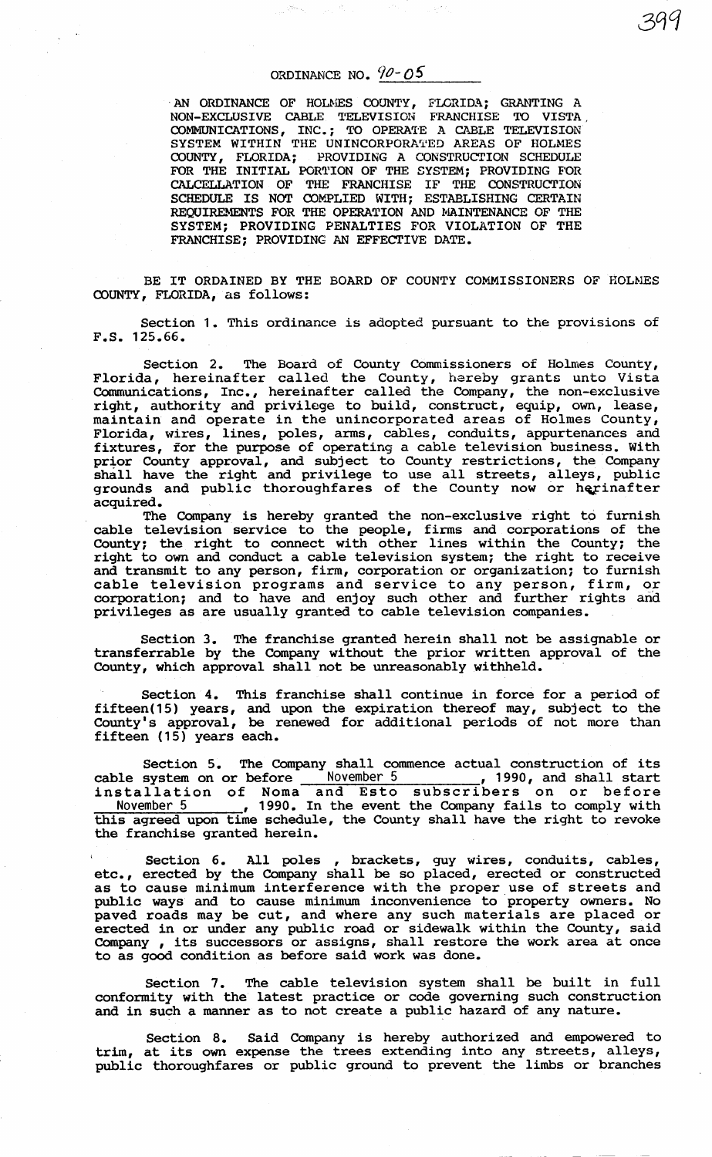## ORDINANCE NO.  $90 - 05$

AN ORDINANCE OF HOLMES COUNTY, FLORIDA; GRANTING A NON-EXCLUSIVE CABLE TELEVISION FRANCHISE TO VISTA, COMMUNICATIONS, INC.; TO OPERATE A CABLE TELEVISION SYSTEM WITHIN THE UNINCORPORATED AREAS OF HOLMES COUNTY, FLORIDA; PROVIDING A CONSTRUCTION SCHEDULE FOR THE INITIAL PORTION OF THE SYSTEM; PROVIDING FOR CALCELLATION OF THE FRANCHISE IF THE CONSTRUCTION SCHEDULE IS NOT COMPLIED WITH; ESTABLISHING CERTAIN REQUIREMENTS FOR THE OPERATION AND MAINTENANCE OF THE SYSTEM; PROVIDING PENALTIES FOR VIOLATION OF THE FRANCHISE; PROVIDING AN EFFECTIVE DATE.

BE IT ORDAINED BY THE BOARD OF COUNTY COMMISSIONERS OF HOLMES COUNTY, FLORIDA, as follows:

Section 1. This ordinance is adopted pursuant to the provisions of F.S. 125.66.

Section 2. The Board of County Commissioners of Holmes County, Florida, hereinafter called the County, hereby grants unto Vista Communications, Inc., hereinafter called the Company, the non-exclusive right, authority and privilege to build, construct, equip, own, lease, maintain and operate in the unincorporated areas of Holmes County, Florida, wires, lines, poles, arms, cables, conduits, appurtenances and fixtures, for the purpose of operating a cable television business. With prior County approval, and subject to County restrictions, the Company prior county approval, and subject to county restrictions, the company shall have the right and privilege to use all streets, alleys, public grounds and public thoroughfares of the County now or herinafter acquired.

The Company is hereby granted the non-exclusive right to furnish cable television service to the people, firms and corporations of the County; the right to connect with other lines within the County; the right to own and conduct a cable television system; the right to receive and transmit to any person, firm, corporation or organization; to furnish and cransmit co any person, firm, corporation or organization, to furnism corporation; and to have and enjoy such other and further rights and privileges as are usually granted to cable television companies.

Section 3. The franchise granted herein shall not be assignable or transferrable by the Company without the prior written approval of the County, which approval shall not be unreasonably withheld.

Section 4. This franchise shall continue in force for a period of fifteen(15) years, and upon the expiration thereof may, subject to the County' s approval, be renewed for additional periods of not more than fifteen (15) years each.

Section 5. The Company shall commence actual construction of its cable system on or before November 5 , 1990, and shall start cable system on of before the november 3 1990, and sharp start<br>installation of Noma and Esto subscribers on or before November 5 , 1990. In the event the Company fails to comply with this agreed upon time schedule, the County shall have the right to revoke the franchise granted herein.

Section 6. All poles , brackets, guy wires, conduits, cables, etc., erected by the Company shall be so placed, erected or constructed as to cause minimum interference with the proper use of streets and public ways and to cause minimum inconvenience to property owners. No paved roads may be cut, and where any such materials are placed or erected in or under any public road or sidewalk within the County, said Company , its successors or assigns, shall restore the work area at once to as good condition as before said work was done.

Section 7. The cable television system shall be built in full conformity with the latest practice or code governing such construction and in such a manner as to not create a public hazard of any nature.

Section 8. Said Company is hereby authorized and empowered to trim, at its own expense the trees extending into any streets, alleys, public thoroughfares or public ground to prevent the limbs or branches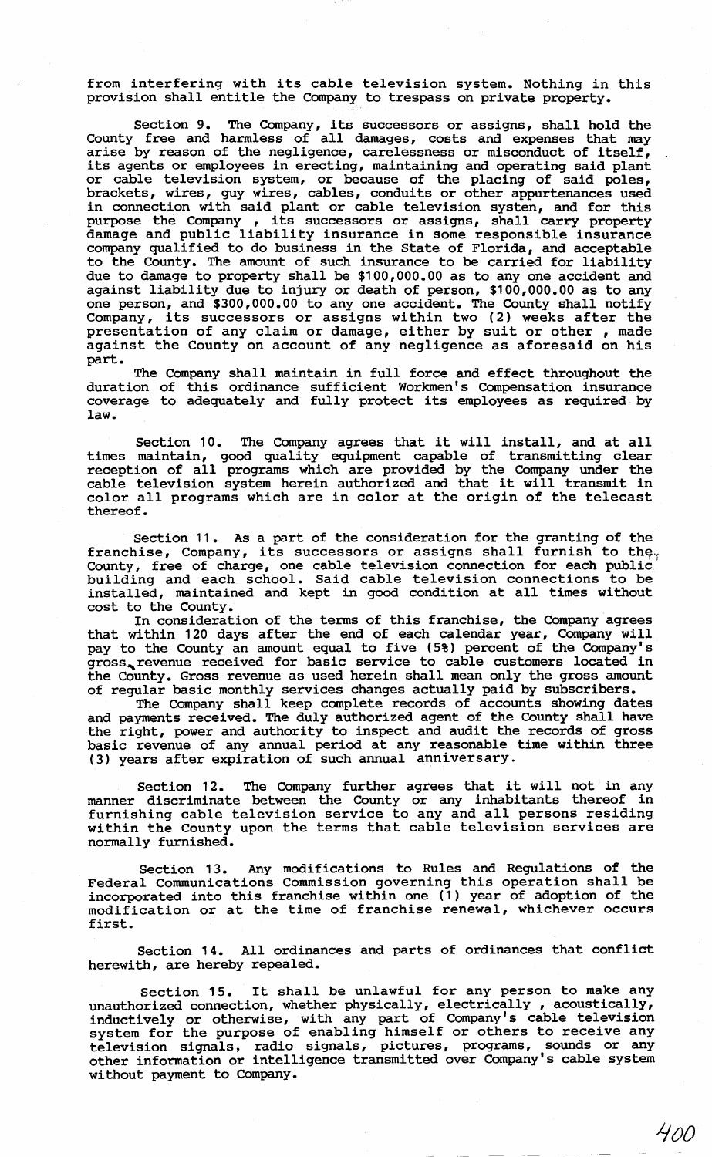from interfering with its cable television system. Nothing in this provision shall entitle the Company to trespass on private property.

Section 9. The Company, its successors or assigns, shall hold the County free and harmless of all damages, costs and expenses that may arise by reason of the negligence, carelessness or misconduct of itself, its agents or employees in erecting, maintaining and operating said plant or cable television system, or because of the placing of said poles, brackets, wires, guy wires, cables, conduits or other appurtenances used in connection with said plant or cable television systen, and for this purpose the Company , its successors or assigns, shall carry property damage and public liability insurance in some responsible insurance company qualified to do business in the State of Florida, and acceptable to the County. The amount of such insurance to be carried for liability due to damage to property shall be \$100,000.00 as to any one accident and against liability due to injury or death of person, \$100,000.00 as to any one person, and \$300,000.00 to any one accident. The County shall notify Company, its successors or assigns within two (2) weeks after the presentation of any claim or damage, either by suit or other, made against the County on account of any negligence as aforesaid on his part.

The Company shall maintain in full force and effect throughout the duration of this ordinance sufficient Workmen's Compensation insurance coverage to adequately and fully protect its employees as required by law.

Section 10. The Company agrees that it will install, and at all times maintain, good quality equipment capable of transmitting clear reception of all programs which are provided by the Company under the cable television system herein authorized and that it will transmit in color all programs which are in color at the origin of the telecast thereof.

Section 11. As a part of the consideration for the granting of the franchise, Company, its successors or assigns shall furnish to the County, free of charge, one cable television connection for each public' building and each school. Said cable television connections to be installed, maintained and kept in good condition at all times without cost to the County.

In consideration of the terms of this franchise, the Company agrees that within 120 days after the end of each calendar year, Company will pay to the County an amount equal to five (5%) percent of the Company's gross, revenue received for basic service to cable customers located in the County. Gross revenue as used herein shall mean only the gross amount of regular basic monthly services changes actually paid by subscribers.

The Company shall keep complete records of accounts showing dates and payments received. The duly authorized agent of the County shall have the right, power and authority to inspect and audit the records of gross basic revenue of any annual period at any reasonable time within three (3) years after expiration of such annual anniversary.

Section 12. The Company further agrees that it will not in any manner discriminate between the County or any inhabitants thereof in furnishing cable television service to any and all persons residing within the County upon the terms that cable television services are normally furnished.

Section 13. Any modifications to Rules and Regulations of the Federal Communications Commission governing this operation shall be incorporated into this franchise within one (1) year of adoption of the modification or at the time of franchise renewal, whichever occurs first.

Section 14. All ordinances and parts of ordinances that conflict herewith, are hereby repealed.

Section 15. It shall be unlawful for any person to make any unauthorized connection, whether physically, electrically, acoustically, inductively or otherwise, with any part of Company's cable television system for the purpose of enabling himself or others to receive any television signals, radio signals, pictures, programs, sounds or any other information or intelligence transmitted over Company's cable system without payment to Company.